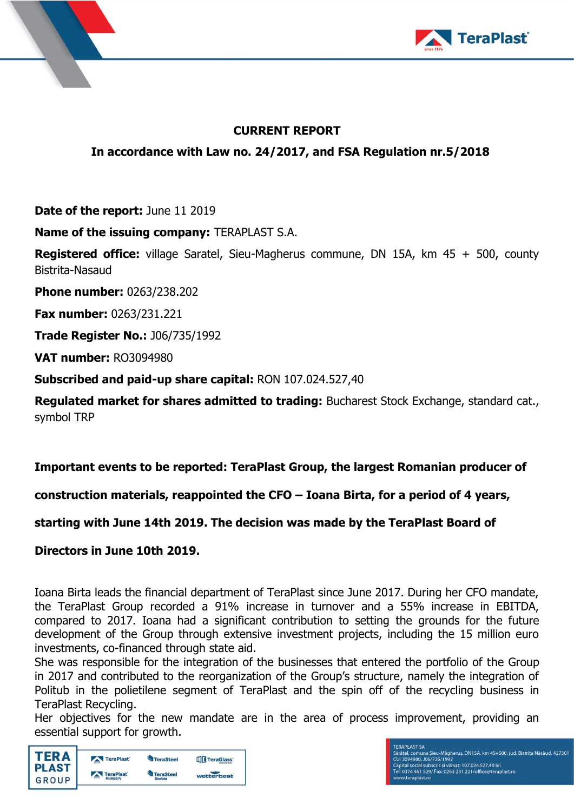



# **CURRENT REPORT**

**In accordance with Law no. 24/2017, and FSA Regulation nr.5/2018**

**Date of the report:** June 11 2019

**Name of the issuing company:** TERAPLAST S.A.

**Registered office:** village Saratel, Sieu-Magherus commune, DN 15A, km 45 + 500, county Bistrita-Nasaud

**Phone number:** 0263/238.202

**Fax number:** 0263/231.221

**Trade Register No.:** J06/735/1992

**VAT number:** RO3094980

**Subscribed and paid-up share capital:** RON 107.024.527,40

**Regulated market for shares admitted to trading:** Bucharest Stock Exchange, standard cat., symbol TRP

# **Important events to be reported: TeraPlast Group, the largest Romanian producer of**

**construction materials, reappointed the CFO – Ioana Birta, for a period of 4 years,** 

## **starting with June 14th 2019. The decision was made by the TeraPlast Board of**

## **Directors in June 10th 2019.**

Ioana Birta leads the financial department of TeraPlast since June 2017. During her CFO mandate, the TeraPlast Group recorded a 91% increase in turnover and a 55% increase in EBITDA, compared to 2017. Ioana had a significant contribution to setting the grounds for the future development of the Group through extensive investment projects, including the 15 million euro investments, co-financed through state aid.

She was responsible for the integration of the businesses that entered the portfolio of the Group in 2017 and contributed to the reorganization of the Group's structure, namely the integration of Politub in the polietilene segment of TeraPlast and the spin off of the recycling business in TeraPlast Recycling.

Her objectives for the new mandate are in the area of process improvement, providing an essential support for growth.

| <b>TERA</b>  | TeraPlast | <b>TeraSteel</b> | <b>TIT</b> TeraGlass' |
|--------------|-----------|------------------|-----------------------|
| <b>PLAST</b> | TeraPlast | <b>TeraSteel</b> | wetterbest            |
| GROUP        | Hungary   | <b>Serbia</b>    |                       |

**ERAPLAST SA** 

rawa Dawawa<br>Caratel, comuna Șieu-Măgheruș, DN15A, km 45+500, jud. Bistrița Năsăud, 427301<br>Capital social subscris și vărsat: 107.024.527.40 lei<br>Cei: 0374 461 529/ Fax: 0263 231 221/office@teraplast.ro<br>[ei: 0374 461 529/ F